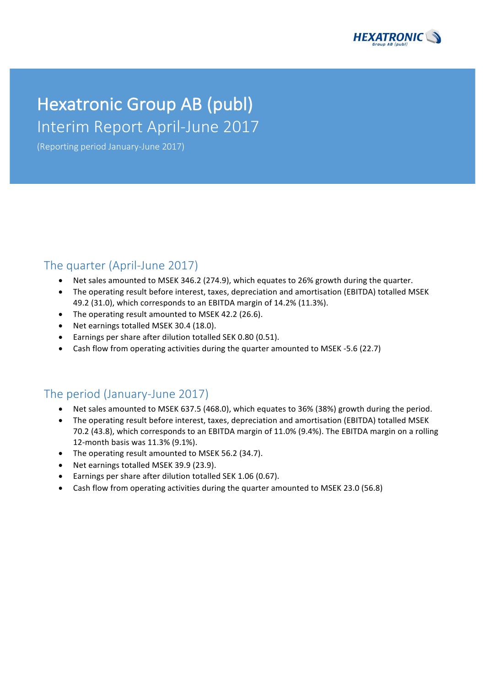

# Hexatronic Group AB (publ) Interim Report April-June 2017

(Reporting period January-June 2017)

## The quarter (April-June 2017)

- Net sales amounted to MSEK 346.2 (274.9), which equates to 26% growth during the quarter.
- The operating result before interest, taxes, depreciation and amortisation (EBITDA) totalled MSEK 49.2 (31.0), which corresponds to an EBITDA margin of 14.2% (11.3%).
- The operating result amounted to MSEK 42.2 (26.6).
- Net earnings totalled MSEK 30.4 (18.0).
- Earnings per share after dilution totalled SEK 0.80 (0.51).
- Cash flow from operating activities during the quarter amounted to MSEK -5.6 (22.7)

## The period (January-June 2017)

- Net sales amounted to MSEK 637.5 (468.0), which equates to 36% (38%) growth during the period.
- The operating result before interest, taxes, depreciation and amortisation (EBITDA) totalled MSEK 70.2 (43.8), which corresponds to an EBITDA margin of 11.0% (9.4%). The EBITDA margin on a rolling 12-month basis was 11.3% (9.1%).
- The operating result amounted to MSEK 56.2 (34.7).
- Net earnings totalled MSEK 39.9 (23.9).
- Earnings per share after dilution totalled SEK 1.06 (0.67).
- Cash flow from operating activities during the quarter amounted to MSEK 23.0 (56.8)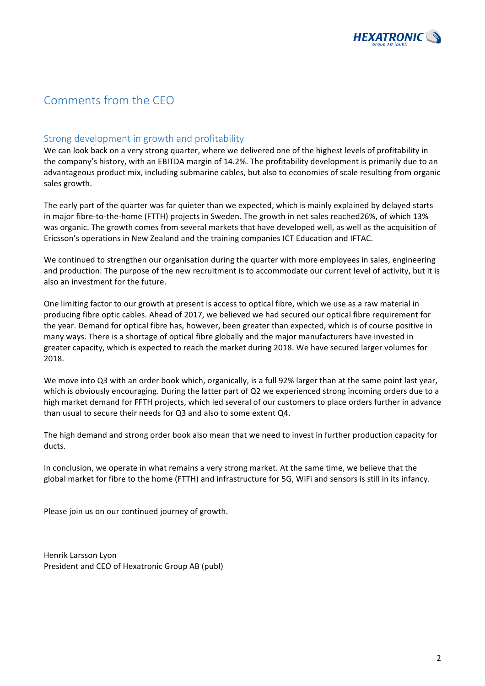

## Comments from the CEO

## Strong development in growth and profitability

We can look back on a very strong quarter, where we delivered one of the highest levels of profitability in the company's history, with an EBITDA margin of 14.2%. The profitability development is primarily due to an advantageous product mix, including submarine cables, but also to economies of scale resulting from organic sales growth.

The early part of the quarter was far quieter than we expected, which is mainly explained by delayed starts in major fibre-to-the-home (FTTH) projects in Sweden. The growth in net sales reached26%, of which 13% was organic. The growth comes from several markets that have developed well, as well as the acquisition of Ericsson's operations in New Zealand and the training companies ICT Education and IFTAC.

We continued to strengthen our organisation during the quarter with more employees in sales, engineering and production. The purpose of the new recruitment is to accommodate our current level of activity, but it is also an investment for the future.

One limiting factor to our growth at present is access to optical fibre, which we use as a raw material in producing fibre optic cables. Ahead of 2017, we believed we had secured our optical fibre requirement for the year. Demand for optical fibre has, however, been greater than expected, which is of course positive in many ways. There is a shortage of optical fibre globally and the major manufacturers have invested in greater capacity, which is expected to reach the market during 2018. We have secured larger volumes for 2018.

We move into Q3 with an order book which, organically, is a full 92% larger than at the same point last year, which is obviously encouraging. During the latter part of Q2 we experienced strong incoming orders due to a high market demand for FFTH projects, which led several of our customers to place orders further in advance than usual to secure their needs for Q3 and also to some extent Q4.

The high demand and strong order book also mean that we need to invest in further production capacity for ducts. 

In conclusion, we operate in what remains a very strong market. At the same time, we believe that the global market for fibre to the home (FTTH) and infrastructure for 5G, WiFi and sensors is still in its infancy.

Please join us on our continued journey of growth.

Henrik Larsson Lyon President and CEO of Hexatronic Group AB (publ)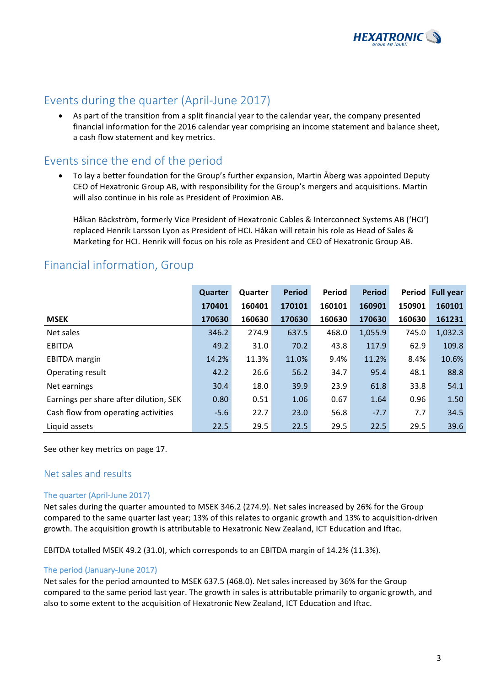

## Events during the quarter (April-June 2017)

• As part of the transition from a split financial year to the calendar year, the company presented financial information for the 2016 calendar year comprising an income statement and balance sheet, a cash flow statement and key metrics.

## Events since the end of the period

To lay a better foundation for the Group's further expansion, Martin Åberg was appointed Deputy CEO of Hexatronic Group AB, with responsibility for the Group's mergers and acquisitions. Martin will also continue in his role as President of Proximion AB.

Håkan Bäckström, formerly Vice President of Hexatronic Cables & Interconnect Systems AB ('HCI') replaced Henrik Larsson Lyon as President of HCI. Håkan will retain his role as Head of Sales & Marketing for HCI. Henrik will focus on his role as President and CEO of Hexatronic Group AB.

|                                        | Quarter | Quarter | <b>Period</b> | Period | <b>Period</b> | Period | <b>Full year</b> |
|----------------------------------------|---------|---------|---------------|--------|---------------|--------|------------------|
|                                        | 170401  | 160401  | 170101        | 160101 | 160901        | 150901 | 160101           |
| <b>MSEK</b>                            | 170630  | 160630  | 170630        | 160630 | 170630        | 160630 | 161231           |
| Net sales                              | 346.2   | 274.9   | 637.5         | 468.0  | 1,055.9       | 745.0  | 1,032.3          |
| <b>EBITDA</b>                          | 49.2    | 31.0    | 70.2          | 43.8   | 117.9         | 62.9   | 109.8            |
| <b>EBITDA</b> margin                   | 14.2%   | 11.3%   | 11.0%         | 9.4%   | 11.2%         | 8.4%   | 10.6%            |
| Operating result                       | 42.2    | 26.6    | 56.2          | 34.7   | 95.4          | 48.1   | 88.8             |
| Net earnings                           | 30.4    | 18.0    | 39.9          | 23.9   | 61.8          | 33.8   | 54.1             |
| Earnings per share after dilution, SEK | 0.80    | 0.51    | 1.06          | 0.67   | 1.64          | 0.96   | 1.50             |
| Cash flow from operating activities    | $-5.6$  | 22.7    | 23.0          | 56.8   | $-7.7$        | 7.7    | 34.5             |
| Liquid assets                          | 22.5    | 29.5    | 22.5          | 29.5   | 22.5          | 29.5   | 39.6             |

## Financial information, Group

See other key metrics on page 17.

## Net sales and results

## The quarter (April-June 2017)

Net sales during the quarter amounted to MSEK 346.2 (274.9). Net sales increased by 26% for the Group compared to the same quarter last year; 13% of this relates to organic growth and 13% to acquisition-driven growth. The acquisition growth is attributable to Hexatronic New Zealand, ICT Education and Iftac.

EBITDA totalled MSEK 49.2 (31.0), which corresponds to an EBITDA margin of 14.2% (11.3%).

## The period (January-June 2017)

Net sales for the period amounted to MSEK 637.5 (468.0). Net sales increased by 36% for the Group compared to the same period last year. The growth in sales is attributable primarily to organic growth, and also to some extent to the acquisition of Hexatronic New Zealand, ICT Education and Iftac.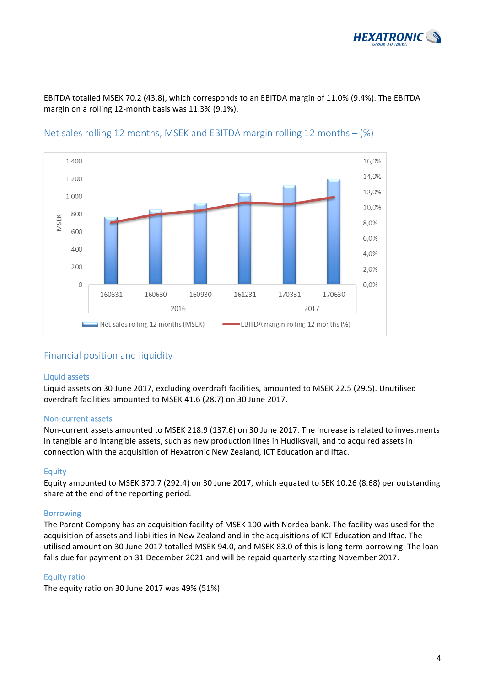

EBITDA totalled MSEK 70.2 (43.8), which corresponds to an EBITDA margin of 11.0% (9.4%). The EBITDA margin on a rolling 12-month basis was 11.3% (9.1%).



Net sales rolling 12 months, MSEK and EBITDA margin rolling 12 months  $-$  (%)

## Financial position and liquidity

#### Liquid assets

Liquid assets on 30 June 2017, excluding overdraft facilities, amounted to MSEK 22.5 (29.5). Unutilised overdraft facilities amounted to MSEK 41.6 (28.7) on 30 June 2017.

#### Non-current assets

Non-current assets amounted to MSEK 218.9 (137.6) on 30 June 2017. The increase is related to investments in tangible and intangible assets, such as new production lines in Hudiksvall, and to acquired assets in connection with the acquisition of Hexatronic New Zealand, ICT Education and Iftac.

## **Equity**

Equity amounted to MSEK 370.7 (292.4) on 30 June 2017, which equated to SEK 10.26 (8.68) per outstanding share at the end of the reporting period.

## Borrowing

The Parent Company has an acquisition facility of MSEK 100 with Nordea bank. The facility was used for the acquisition of assets and liabilities in New Zealand and in the acquisitions of ICT Education and Iftac. The utilised amount on 30 June 2017 totalled MSEK 94.0, and MSEK 83.0 of this is long-term borrowing. The loan falls due for payment on 31 December 2021 and will be repaid quarterly starting November 2017.

## **Equity ratio**

The equity ratio on 30 June  $2017$  was  $49\%$  (51%).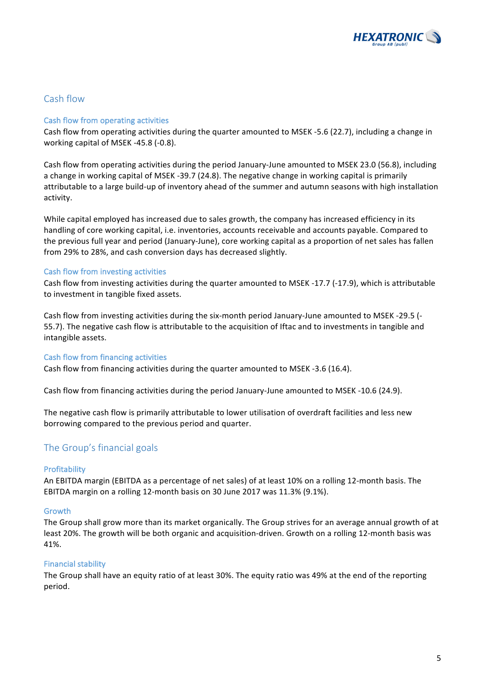

## Cash flow

## Cash flow from operating activities

Cash flow from operating activities during the quarter amounted to MSEK -5.6 (22.7), including a change in working capital of MSEK -45.8 (-0.8).

Cash flow from operating activities during the period January-June amounted to MSEK 23.0 (56.8), including a change in working capital of MSEK -39.7 (24.8). The negative change in working capital is primarily attributable to a large build-up of inventory ahead of the summer and autumn seasons with high installation activity. 

While capital employed has increased due to sales growth, the company has increased efficiency in its handling of core working capital, i.e. inventories, accounts receivable and accounts payable. Compared to the previous full year and period (January-June), core working capital as a proportion of net sales has fallen from 29% to 28%, and cash conversion days has decreased slightly.

#### Cash flow from investing activities

Cash flow from investing activities during the quarter amounted to MSEK -17.7 (-17.9), which is attributable to investment in tangible fixed assets.

Cash flow from investing activities during the six-month period January-June amounted to MSEK -29.5 (-55.7). The negative cash flow is attributable to the acquisition of Iftac and to investments in tangible and intangible assets.

## Cash flow from financing activities

Cash flow from financing activities during the quarter amounted to MSEK -3.6 (16.4).

Cash flow from financing activities during the period January-June amounted to MSEK -10.6 (24.9).

The negative cash flow is primarily attributable to lower utilisation of overdraft facilities and less new borrowing compared to the previous period and quarter.

## The Group's financial goals

## Profitability

An EBITDA margin (EBITDA as a percentage of net sales) of at least 10% on a rolling 12-month basis. The EBITDA margin on a rolling 12-month basis on 30 June 2017 was 11.3% (9.1%).

#### Growth

The Group shall grow more than its market organically. The Group strives for an average annual growth of at least 20%. The growth will be both organic and acquisition-driven. Growth on a rolling 12-month basis was 41%.

## Financial stability

The Group shall have an equity ratio of at least 30%. The equity ratio was 49% at the end of the reporting period.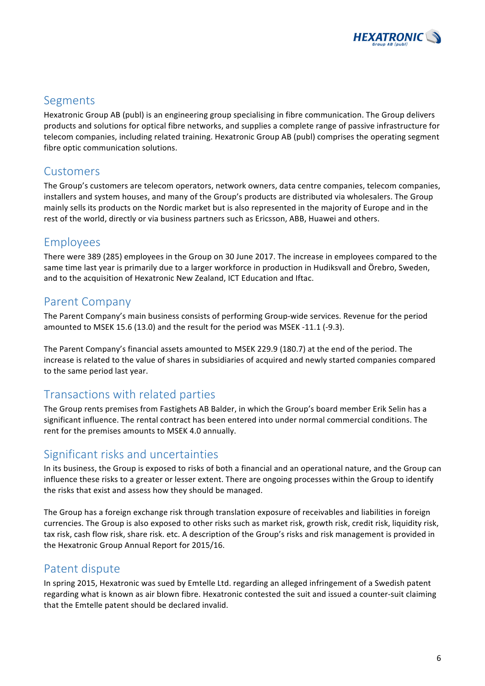

## Segments

Hexatronic Group AB (publ) is an engineering group specialising in fibre communication. The Group delivers products and solutions for optical fibre networks, and supplies a complete range of passive infrastructure for telecom companies, including related training. Hexatronic Group AB (publ) comprises the operating segment fibre optic communication solutions.

## Customers

The Group's customers are telecom operators, network owners, data centre companies, telecom companies, installers and system houses, and many of the Group's products are distributed via wholesalers. The Group mainly sells its products on the Nordic market but is also represented in the majority of Europe and in the rest of the world, directly or via business partners such as Ericsson, ABB, Huawei and others.

## Employees

There were 389 (285) employees in the Group on 30 June 2017. The increase in employees compared to the same time last year is primarily due to a larger workforce in production in Hudiksvall and Örebro, Sweden, and to the acquisition of Hexatronic New Zealand, ICT Education and Iftac.

## Parent Company

The Parent Company's main business consists of performing Group-wide services. Revenue for the period amounted to MSEK 15.6 (13.0) and the result for the period was MSEK -11.1 (-9.3).

The Parent Company's financial assets amounted to MSEK 229.9 (180.7) at the end of the period. The increase is related to the value of shares in subsidiaries of acquired and newly started companies compared to the same period last year.

## Transactions with related parties

The Group rents premises from Fastighets AB Balder, in which the Group's board member Erik Selin has a significant influence. The rental contract has been entered into under normal commercial conditions. The rent for the premises amounts to MSEK 4.0 annually.

## Significant risks and uncertainties

In its business, the Group is exposed to risks of both a financial and an operational nature, and the Group can influence these risks to a greater or lesser extent. There are ongoing processes within the Group to identify the risks that exist and assess how they should be managed.

The Group has a foreign exchange risk through translation exposure of receivables and liabilities in foreign currencies. The Group is also exposed to other risks such as market risk, growth risk, credit risk, liquidity risk, tax risk, cash flow risk, share risk. etc. A description of the Group's risks and risk management is provided in the Hexatronic Group Annual Report for 2015/16.

## Patent dispute

In spring 2015, Hexatronic was sued by Emtelle Ltd. regarding an alleged infringement of a Swedish patent regarding what is known as air blown fibre. Hexatronic contested the suit and issued a counter-suit claiming that the Emtelle patent should be declared invalid.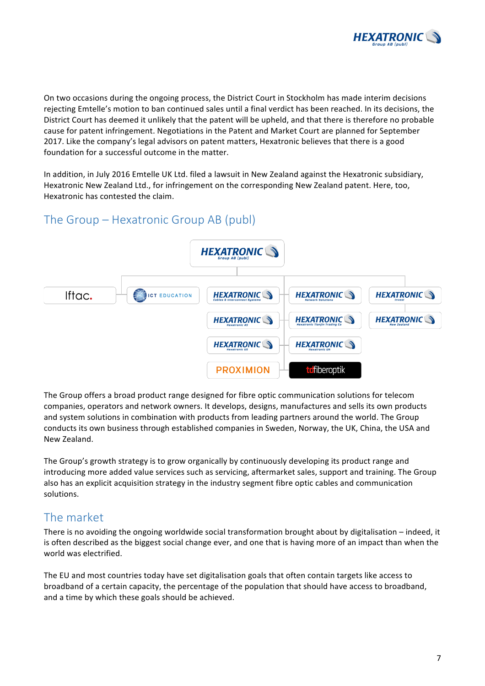

On two occasions during the ongoing process, the District Court in Stockholm has made interim decisions rejecting Emtelle's motion to ban continued sales until a final verdict has been reached. In its decisions, the District Court has deemed it unlikely that the patent will be upheld, and that there is therefore no probable cause for patent infringement. Negotiations in the Patent and Market Court are planned for September 2017. Like the company's legal advisors on patent matters, Hexatronic believes that there is a good foundation for a successful outcome in the matter.

In addition, in July 2016 Emtelle UK Ltd. filed a lawsuit in New Zealand against the Hexatronic subsidiary, Hexatronic New Zealand Ltd., for infringement on the corresponding New Zealand patent. Here, too, Hexatronic has contested the claim.

## The Group – Hexatronic Group AB (publ)



The Group offers a broad product range designed for fibre optic communication solutions for telecom companies, operators and network owners. It develops, designs, manufactures and sells its own products and system solutions in combination with products from leading partners around the world. The Group conducts its own business through established companies in Sweden, Norway, the UK, China, the USA and New Zealand.

The Group's growth strategy is to grow organically by continuously developing its product range and introducing more added value services such as servicing, aftermarket sales, support and training. The Group also has an explicit acquisition strategy in the industry segment fibre optic cables and communication solutions.

## The market

There is no avoiding the ongoing worldwide social transformation brought about by digitalisation – indeed, it is often described as the biggest social change ever, and one that is having more of an impact than when the world was electrified.

The EU and most countries today have set digitalisation goals that often contain targets like access to broadband of a certain capacity, the percentage of the population that should have access to broadband, and a time by which these goals should be achieved.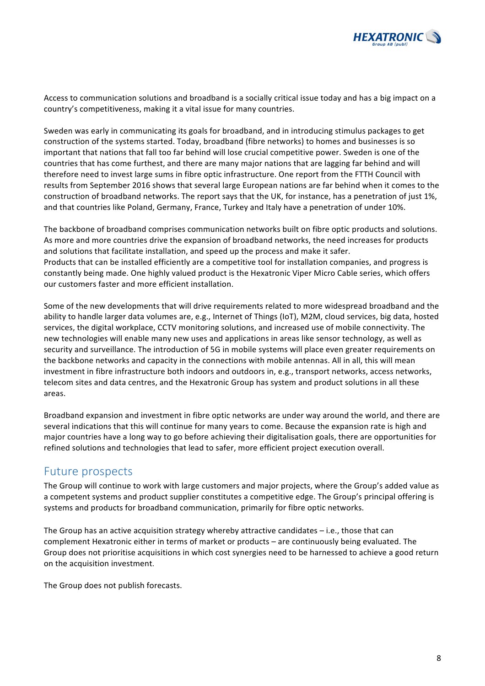

Access to communication solutions and broadband is a socially critical issue today and has a big impact on a country's competitiveness, making it a vital issue for many countries.

Sweden was early in communicating its goals for broadband, and in introducing stimulus packages to get construction of the systems started. Today, broadband (fibre networks) to homes and businesses is so important that nations that fall too far behind will lose crucial competitive power. Sweden is one of the countries that has come furthest, and there are many major nations that are lagging far behind and will therefore need to invest large sums in fibre optic infrastructure. One report from the FTTH Council with results from September 2016 shows that several large European nations are far behind when it comes to the construction of broadband networks. The report says that the UK, for instance, has a penetration of just 1%, and that countries like Poland, Germany, France, Turkey and Italy have a penetration of under 10%.

The backbone of broadband comprises communication networks built on fibre optic products and solutions. As more and more countries drive the expansion of broadband networks, the need increases for products and solutions that facilitate installation, and speed up the process and make it safer. Products that can be installed efficiently are a competitive tool for installation companies, and progress is constantly being made. One highly valued product is the Hexatronic Viper Micro Cable series, which offers our customers faster and more efficient installation.

Some of the new developments that will drive requirements related to more widespread broadband and the ability to handle larger data volumes are, e.g., Internet of Things (IoT), M2M, cloud services, big data, hosted services, the digital workplace, CCTV monitoring solutions, and increased use of mobile connectivity. The new technologies will enable many new uses and applications in areas like sensor technology, as well as security and surveillance. The introduction of 5G in mobile systems will place even greater requirements on the backbone networks and capacity in the connections with mobile antennas. All in all, this will mean investment in fibre infrastructure both indoors and outdoors in, e.g., transport networks, access networks, telecom sites and data centres, and the Hexatronic Group has system and product solutions in all these areas.

Broadband expansion and investment in fibre optic networks are under way around the world, and there are several indications that this will continue for many years to come. Because the expansion rate is high and major countries have a long way to go before achieving their digitalisation goals, there are opportunities for refined solutions and technologies that lead to safer, more efficient project execution overall.

## Future prospects

The Group will continue to work with large customers and major projects, where the Group's added value as a competent systems and product supplier constitutes a competitive edge. The Group's principal offering is systems and products for broadband communication, primarily for fibre optic networks.

The Group has an active acquisition strategy whereby attractive candidates  $-$  i.e., those that can complement Hexatronic either in terms of market or products – are continuously being evaluated. The Group does not prioritise acquisitions in which cost synergies need to be harnessed to achieve a good return on the acquisition investment.

The Group does not publish forecasts.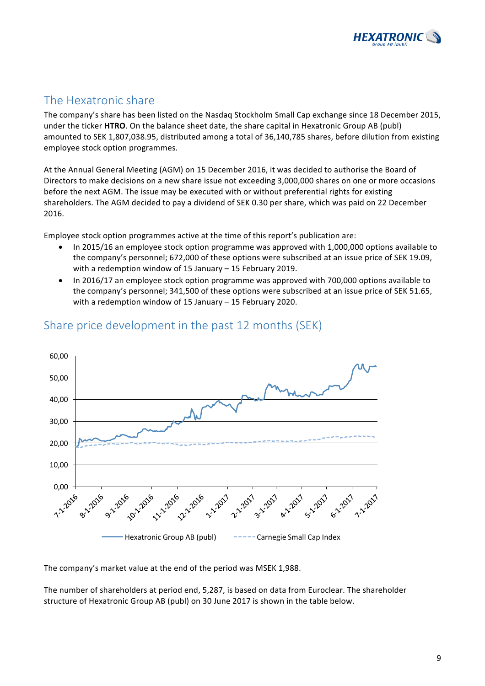

## The Hexatronic share

The company's share has been listed on the Nasdaq Stockholm Small Cap exchange since 18 December 2015, under the ticker HTRO. On the balance sheet date, the share capital in Hexatronic Group AB (publ) amounted to SEK 1,807,038.95, distributed among a total of 36,140,785 shares, before dilution from existing employee stock option programmes.

At the Annual General Meeting (AGM) on 15 December 2016, it was decided to authorise the Board of Directors to make decisions on a new share issue not exceeding 3,000,000 shares on one or more occasions before the next AGM. The issue may be executed with or without preferential rights for existing shareholders. The AGM decided to pay a dividend of SEK 0.30 per share, which was paid on 22 December 2016.

Employee stock option programmes active at the time of this report's publication are:

- In 2015/16 an employee stock option programme was approved with 1,000,000 options available to the company's personnel; 672,000 of these options were subscribed at an issue price of SEK 19.09, with a redemption window of 15 January  $-$  15 February 2019.
- In 2016/17 an employee stock option programme was approved with 700,000 options available to the company's personnel; 341,500 of these options were subscribed at an issue price of SEK 51.65, with a redemption window of 15 January  $-$  15 February 2020.



## Share price development in the past 12 months (SEK)

The company's market value at the end of the period was MSEK 1,988.

The number of shareholders at period end, 5,287, is based on data from Euroclear. The shareholder structure of Hexatronic Group AB (publ) on 30 June 2017 is shown in the table below.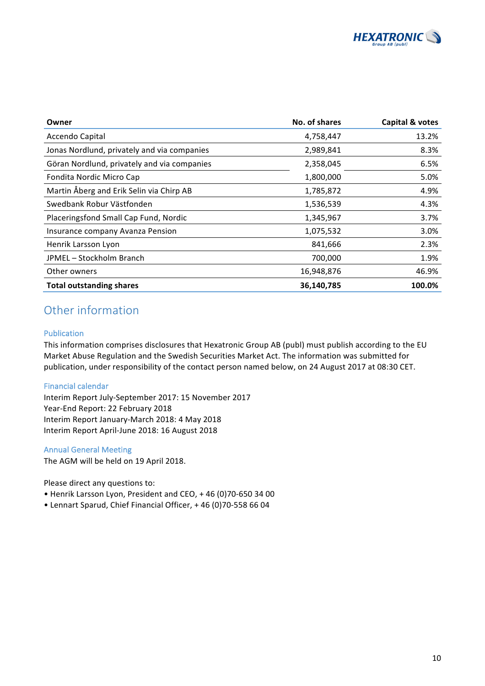

| Owner                                       | No. of shares | Capital & votes |
|---------------------------------------------|---------------|-----------------|
| Accendo Capital                             | 4,758,447     | 13.2%           |
| Jonas Nordlund, privately and via companies | 2,989,841     | 8.3%            |
| Göran Nordlund, privately and via companies | 2,358,045     | 6.5%            |
| Fondita Nordic Micro Cap                    | 1,800,000     | 5.0%            |
| Martin Åberg and Erik Selin via Chirp AB    | 1,785,872     | 4.9%            |
| Swedbank Robur Västfonden                   | 1,536,539     | 4.3%            |
| Placeringsfond Small Cap Fund, Nordic       | 1,345,967     | 3.7%            |
| Insurance company Avanza Pension            | 1,075,532     | 3.0%            |
| Henrik Larsson Lyon                         | 841,666       | 2.3%            |
| JPMEL-Stockholm Branch                      | 700,000       | 1.9%            |
| Other owners                                | 16,948,876    | 46.9%           |
| <b>Total outstanding shares</b>             | 36,140,785    | 100.0%          |

## Other information

## Publication

This information comprises disclosures that Hexatronic Group AB (publ) must publish according to the EU Market Abuse Regulation and the Swedish Securities Market Act. The information was submitted for publication, under responsibility of the contact person named below, on 24 August 2017 at 08:30 CET.

## Financial calendar

Interim Report July-September 2017: 15 November 2017 Year-End Report: 22 February 2018 Interim Report January-March 2018: 4 May 2018 Interim Report April-June 2018: 16 August 2018

#### Annual General Meeting

The AGM will be held on 19 April 2018.

Please direct any questions to:

- Henrik Larsson Lyon, President and CEO, + 46 (0)70-650 34 00
- Lennart Sparud, Chief Financial Officer, + 46 (0)70-558 66 04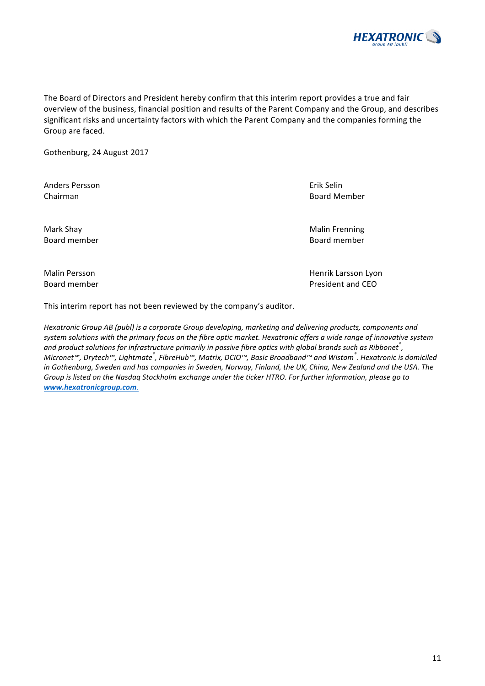The Board of Directors and President hereby confirm that this interim report provides a true and fair overview of the business, financial position and results of the Parent Company and the Group, and describes significant risks and uncertainty factors with which the Parent Company and the companies forming the Group are faced.

Gothenburg, 24 August 2017

Anders Persson **Existence** Contract Contract Contract Contract Contract Contract Contract Contract Contract Contract Contract Contract Contract Contract Contract Contract Contract Contract Contract Contract Contract Contra **Chairman** Board Member **Chairman** Board Member

Mark Shay **Mark Shay** Malin Frenning Malin Frenning Malin Frenning Malin Frenning Board member **Board member** Board member **Board member** 

This interim report has not been reviewed by the company's auditor.

*Hexatronic Group AB (publ) is a corporate Group developing, marketing and delivering products, components and* system solutions with the primary focus on the fibre optic market. Hexatronic offers a wide range of innovative system and product solutions for infrastructure primarily in passive fibre optics with global brands such as Ribbonet<sup>®</sup>,  $M$ icronet™, Drytech™, Lightmate<sup>®</sup>, FibreHub™, Matrix, DCIO™, Basic Broadband™ and Wistom<sup>®</sup>. Hexatronic is domiciled in Gothenburg, Sweden and has companies in Sweden, Norway, Finland, the UK, China, New Zealand and the USA. The Group is listed on the Nasdaq Stockholm exchange under the ticker HTRO. For further information, please go to *www.hexatronicgroup.com.*



Malin Persson **Malin Persson** Henrik Larsson Lyon Board member **President** and CEO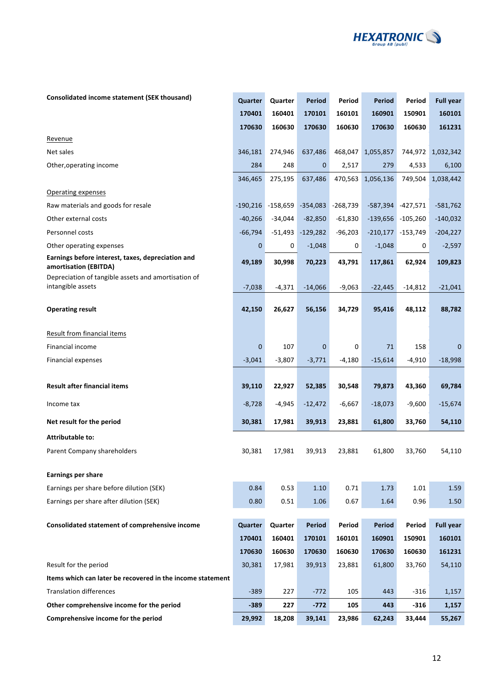

| Consolidated income statement (SEK thousand) |  |
|----------------------------------------------|--|
|----------------------------------------------|--|

| <b>Consolidated income statement (SEK thousand)</b>                        | Quarter    | Quarter    | Period      | Period     | <b>Period</b> | Period              | <b>Full year</b> |
|----------------------------------------------------------------------------|------------|------------|-------------|------------|---------------|---------------------|------------------|
|                                                                            | 170401     | 160401     | 170101      | 160101     | 160901        | 150901              | 160101           |
|                                                                            | 170630     | 160630     | 170630      | 160630     | 170630        | 160630              | 161231           |
| Revenue                                                                    |            |            |             |            |               |                     |                  |
| Net sales                                                                  | 346,181    | 274,946    | 637,486     | 468,047    | 1,055,857     | 744,972             | 1,032,342        |
| Other, operating income                                                    | 284        | 248        | 0           | 2,517      | 279           | 4,533               | 6,100            |
|                                                                            | 346,465    | 275,195    | 637,486     | 470,563    | 1,056,136     | 749,504             | 1,038,442        |
| Operating expenses                                                         |            |            |             |            |               |                     |                  |
| Raw materials and goods for resale                                         | $-190,216$ | $-158,659$ | $-354,083$  | $-268,739$ | $-587,394$    | $-427,571$          | $-581,762$       |
| Other external costs                                                       | $-40,266$  | $-34,044$  | $-82,850$   | $-61,830$  |               | $-139,656 -105,260$ | $-140,032$       |
| Personnel costs                                                            | $-66,794$  | -51,493    | $-129,282$  | $-96,203$  |               | $-210,177 -153,749$ | $-204,227$       |
| Other operating expenses                                                   | 0          | 0          | $-1,048$    | 0          | $-1,048$      | 0                   | $-2,597$         |
| Earnings before interest, taxes, depreciation and<br>amortisation (EBITDA) | 49,189     | 30,998     | 70,223      | 43,791     | 117,861       | 62,924              | 109,823          |
| Depreciation of tangible assets and amortisation of                        |            |            |             |            |               |                     |                  |
| intangible assets                                                          | $-7,038$   | $-4,371$   | $-14,066$   | $-9,063$   | $-22,445$     | $-14,812$           | $-21,041$        |
| <b>Operating result</b>                                                    | 42,150     | 26,627     | 56,156      | 34,729     | 95,416        | 48,112              | 88,782           |
| Result from financial items                                                |            |            |             |            |               |                     |                  |
| Financial income                                                           | 0          | 107        | $\mathbf 0$ | 0          | 71            | 158                 | 0                |
| Financial expenses                                                         | $-3,041$   | $-3,807$   | $-3,771$    | $-4,180$   | $-15,614$     | $-4,910$            | $-18,998$        |
|                                                                            |            |            |             |            |               |                     |                  |
| <b>Result after financial items</b>                                        | 39,110     | 22,927     | 52,385      | 30,548     | 79,873        | 43,360              | 69,784           |
| Income tax                                                                 | $-8,728$   | $-4,945$   | $-12,472$   | -6,667     | $-18,073$     | $-9,600$            | $-15,674$        |
| Net result for the period                                                  | 30,381     | 17,981     | 39,913      | 23,881     | 61,800        | 33,760              | 54,110           |
| <b>Attributable to:</b>                                                    |            |            |             |            |               |                     |                  |
| Parent Company shareholders                                                | 30,381     | 17,981     | 39,913      | 23,881     | 61,800        | 33,760              | 54,110           |
| <b>Earnings per share</b>                                                  |            |            |             |            |               |                     |                  |
| Earnings per share before dilution (SEK)                                   | 0.84       | 0.53       | 1.10        | 0.71       | 1.73          | 1.01                | 1.59             |
| Earnings per share after dilution (SEK)                                    | 0.80       | 0.51       | 1.06        | 0.67       | 1.64          | 0.96                | 1.50             |
|                                                                            |            |            |             |            |               |                     |                  |
| Consolidated statement of comprehensive income                             | Quarter    | Quarter    | Period      | Period     | Period        | Period              | <b>Full year</b> |
|                                                                            | 170401     | 160401     | 170101      | 160101     | 160901        | 150901              | 160101           |
|                                                                            | 170630     | 160630     | 170630      | 160630     | 170630        | 160630              | 161231           |
| Result for the period                                                      | 30,381     | 17,981     | 39,913      | 23,881     | 61,800        | 33,760              | 54,110           |
| Items which can later be recovered in the income statement                 |            |            |             |            |               |                     |                  |
| <b>Translation differences</b>                                             | $-389$     | 227        | $-772$      | 105        | 443           | -316                | 1,157            |
| Other comprehensive income for the period                                  | $-389$     | 227        | $-772$      | 105        | 443           | -316                | 1,157            |
| Comprehensive income for the period                                        | 29,992     | 18,208     | 39,141      | 23,986     | 62,243        | 33,444              | 55,267           |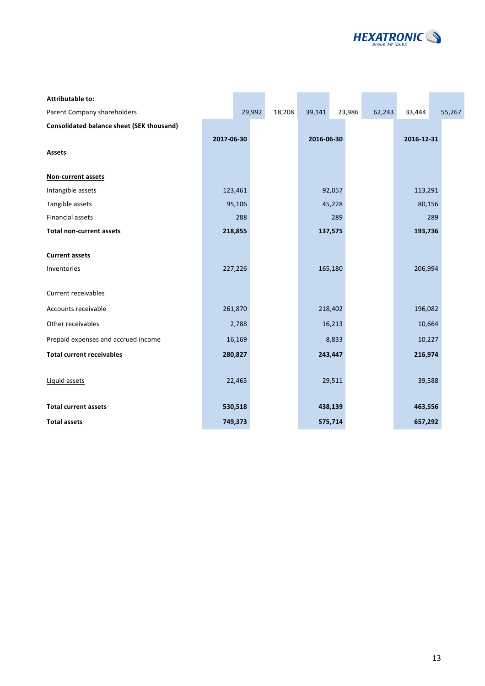

| <b>Attributable to:</b>                          |            |         |        |            |         |        |            |        |
|--------------------------------------------------|------------|---------|--------|------------|---------|--------|------------|--------|
| Parent Company shareholders                      |            | 29,992  | 18,208 | 39,141     | 23,986  | 62,243 | 33,444     | 55,267 |
| <b>Consolidated balance sheet (SEK thousand)</b> |            |         |        |            |         |        |            |        |
|                                                  | 2017-06-30 |         |        | 2016-06-30 |         |        | 2016-12-31 |        |
| <b>Assets</b>                                    |            |         |        |            |         |        |            |        |
|                                                  |            |         |        |            |         |        |            |        |
| Non-current assets                               |            |         |        |            |         |        |            |        |
| Intangible assets                                |            | 123,461 |        |            | 92,057  |        | 113,291    |        |
| Tangible assets                                  |            | 95,106  |        |            | 45,228  |        | 80,156     |        |
| Financial assets                                 |            | 288     |        |            | 289     |        |            | 289    |
| <b>Total non-current assets</b>                  |            | 218,855 |        |            | 137,575 |        | 193,736    |        |
|                                                  |            |         |        |            |         |        |            |        |
| <b>Current assets</b>                            |            |         |        |            |         |        |            |        |
| Inventories                                      |            | 227,226 |        |            | 165,180 |        | 206,994    |        |
|                                                  |            |         |        |            |         |        |            |        |
| Current receivables                              |            |         |        |            |         |        |            |        |
| Accounts receivable                              |            | 261,870 |        |            | 218,402 |        | 196,082    |        |
| Other receivables                                |            | 2,788   |        |            | 16,213  |        | 10,664     |        |
| Prepaid expenses and accrued income              |            | 16,169  |        |            | 8,833   |        | 10,227     |        |
| <b>Total current receivables</b>                 |            | 280,827 |        |            | 243,447 |        | 216,974    |        |
|                                                  |            |         |        |            |         |        |            |        |
| Liquid assets                                    |            | 22,465  |        |            | 29,511  |        | 39,588     |        |
|                                                  |            |         |        |            |         |        |            |        |
| <b>Total current assets</b>                      |            | 530,518 |        |            | 438,139 |        | 463,556    |        |
| <b>Total assets</b>                              |            | 749,373 |        |            | 575,714 |        | 657,292    |        |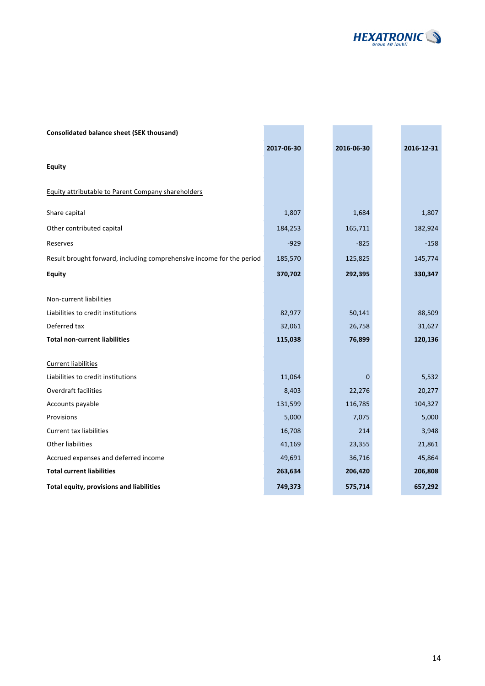

| <b>Consolidated balance sheet (SEK thousand)</b>                      |            |             |            |
|-----------------------------------------------------------------------|------------|-------------|------------|
|                                                                       | 2017-06-30 | 2016-06-30  | 2016-12-31 |
| <b>Equity</b>                                                         |            |             |            |
| Equity attributable to Parent Company shareholders                    |            |             |            |
| Share capital                                                         | 1,807      | 1,684       | 1,807      |
| Other contributed capital                                             | 184,253    | 165,711     | 182,924    |
| Reserves                                                              | $-929$     | $-825$      | $-158$     |
| Result brought forward, including comprehensive income for the period | 185,570    | 125,825     | 145,774    |
| <b>Equity</b>                                                         | 370,702    | 292,395     | 330,347    |
| Non-current liabilities                                               |            |             |            |
| Liabilities to credit institutions                                    | 82,977     | 50,141      | 88,509     |
| Deferred tax                                                          | 32,061     | 26,758      | 31,627     |
| <b>Total non-current liabilities</b>                                  | 115,038    | 76,899      | 120,136    |
| <b>Current liabilities</b>                                            |            |             |            |
| Liabilities to credit institutions                                    | 11,064     | $\mathbf 0$ | 5,532      |
| Overdraft facilities                                                  | 8,403      | 22,276      | 20,277     |
| Accounts payable                                                      | 131,599    | 116,785     | 104,327    |
| Provisions                                                            | 5,000      | 7,075       | 5,000      |
| <b>Current tax liabilities</b>                                        | 16,708     | 214         | 3,948      |
| <b>Other liabilities</b>                                              | 41,169     | 23,355      | 21,861     |
| Accrued expenses and deferred income                                  | 49,691     | 36,716      | 45,864     |
| <b>Total current liabilities</b>                                      | 263,634    | 206,420     | 206,808    |
| Total equity, provisions and liabilities                              | 749,373    | 575,714     | 657,292    |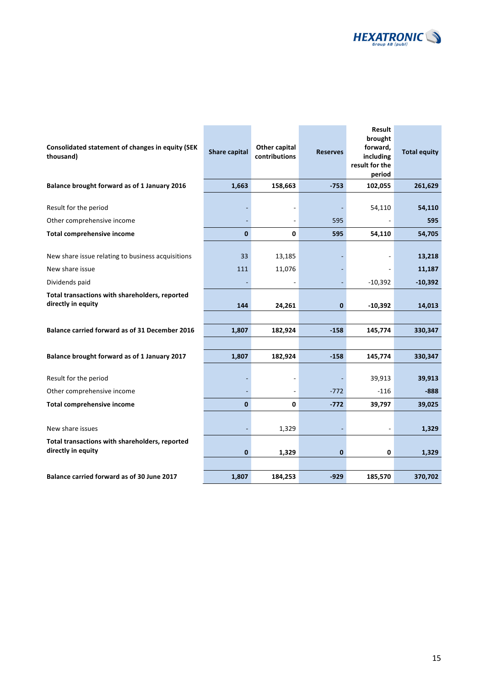

| Consolidated statement of changes in equity (SEK<br>thousand)        | <b>Share capital</b> | Other capital<br>contributions | <b>Reserves</b> | Result<br>brought<br>forward,<br>including<br>result for the<br>period | <b>Total equity</b> |
|----------------------------------------------------------------------|----------------------|--------------------------------|-----------------|------------------------------------------------------------------------|---------------------|
| Balance brought forward as of 1 January 2016                         | 1,663                | 158,663                        | $-753$          | 102,055                                                                | 261,629             |
| Result for the period                                                |                      |                                |                 | 54,110                                                                 | 54,110              |
| Other comprehensive income                                           |                      |                                | 595             |                                                                        | 595                 |
| <b>Total comprehensive income</b>                                    | $\bf{0}$             | $\mathbf 0$                    | 595             | 54,110                                                                 | 54,705              |
| New share issue relating to business acquisitions<br>New share issue | 33<br>111            | 13,185<br>11,076               |                 |                                                                        | 13,218<br>11,187    |
| Dividends paid                                                       |                      |                                |                 | $-10,392$                                                              | $-10,392$           |
| Total transactions with shareholders, reported<br>directly in equity | 144                  | 24,261                         | $\bf{0}$        | $-10,392$                                                              | 14,013              |
| <b>Balance carried forward as of 31 December 2016</b>                | 1,807                | 182,924                        | $-158$          | 145,774                                                                | 330,347             |
| Balance brought forward as of 1 January 2017                         | 1,807                | 182,924                        | $-158$          | 145,774                                                                | 330,347             |
| Result for the period                                                |                      |                                |                 | 39,913                                                                 | 39,913              |
| Other comprehensive income                                           |                      |                                | $-772$          | $-116$                                                                 | $-888$              |
| <b>Total comprehensive income</b>                                    | $\mathbf{0}$         | 0                              | $-772$          | 39,797                                                                 | 39,025              |
| New share issues                                                     |                      | 1,329                          |                 |                                                                        | 1,329               |
| Total transactions with shareholders, reported<br>directly in equity | $\bf{0}$             | 1,329                          | $\bf{0}$        | 0                                                                      | 1,329               |
|                                                                      |                      |                                |                 |                                                                        |                     |
| Balance carried forward as of 30 June 2017                           | 1,807                | 184,253                        | $-929$          | 185,570                                                                | 370,702             |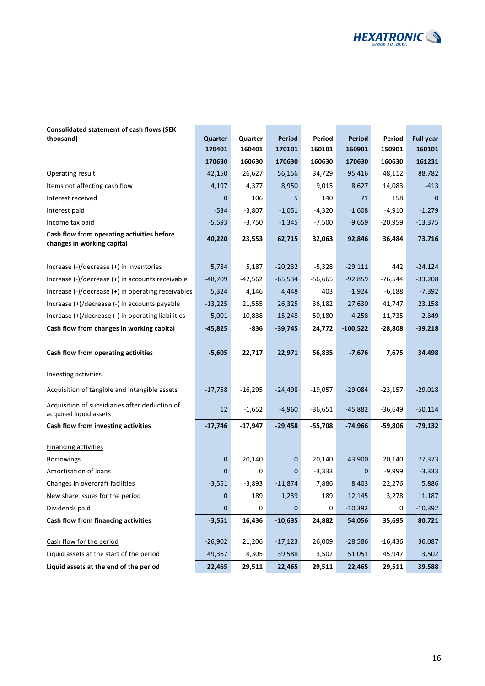

# **Consolidated statement of cash flows (SEK**<br>thousand)

| thousand)                                                                | Quarter<br>170401 | Quarter<br>160401 | Period<br>170101 | Period<br>160101 | <b>Period</b><br>160901 | Period<br>150901 | <b>Full year</b><br>160101 |
|--------------------------------------------------------------------------|-------------------|-------------------|------------------|------------------|-------------------------|------------------|----------------------------|
|                                                                          | 170630            | 160630            | 170630           | 160630           | 170630                  | 160630           | 161231                     |
| Operating result                                                         | 42,150            | 26,627            | 56,156           | 34,729           | 95,416                  | 48,112           | 88,782                     |
| Items not affecting cash flow                                            | 4,197             | 4,377             | 8,950            | 9,015            | 8,627                   | 14,083           | $-413$                     |
| Interest received                                                        | 0                 | 106               | 5                | 140              | 71                      | 158              | $\Omega$                   |
| Interest paid                                                            | $-534$            | $-3,807$          | $-1,051$         | $-4,320$         | $-1,608$                | $-4,910$         | $-1,279$                   |
| Income tax paid                                                          | $-5,593$          | $-3,750$          | $-1,345$         | $-7,500$         | $-9,659$                | $-20,959$        | $-13,375$                  |
| Cash flow from operating activities before<br>changes in working capital | 40,220            | 23,553            | 62,715           | 32,063           | 92,846                  | 36,484           | 73,716                     |
| Increase (-)/decrease (+) in inventories                                 | 5,784             | 5,187             | $-20,232$        | $-5,328$         | $-29,111$               | 442              | $-24,124$                  |
| Increase (-)/decrease (+) in accounts receivable                         | $-48,709$         | $-42,562$         | $-65,534$        | $-56,665$        | $-92,859$               | $-76,544$        | $-33,208$                  |
| Increase $(-)/$ decrease $(+)$ in operating receivables                  | 5,324             | 4,146             | 4,448            | 403              | $-1,924$                | $-6,188$         | $-7,392$                   |
| Increase (+)/decrease (-) in accounts payable                            | $-13,225$         | 21,555            | 26,325           | 36,182           | 27,630                  | 41,747           | 23,158                     |
| Increase (+)/decrease (-) in operating liabilities                       | 5,001             | 10,838            | 15,248           | 50,180           | $-4,258$                | 11,735           | 2,349                      |
| Cash flow from changes in working capital                                | $-45,825$         | -836              | $-39,745$        | 24,772           | $-100,522$              | -28,808          | $-39,218$                  |
|                                                                          |                   |                   |                  |                  |                         |                  |                            |
| Cash flow from operating activities                                      | $-5,605$          | 22,717            | 22,971           | 56,835           | $-7,676$                | 7,675            | 34,498                     |
| <b>Investing activities</b>                                              |                   |                   |                  |                  |                         |                  |                            |
| Acquisition of tangible and intangible assets                            | $-17,758$         | $-16,295$         | $-24,498$        | $-19,057$        | $-29,084$               | $-23,157$        | $-29,018$                  |
| Acquisition of subsidiaries after deduction of<br>acquired liquid assets | 12                | $-1,652$          | $-4,960$         | $-36,651$        | $-45,882$               | $-36,649$        | $-50,114$                  |
| Cash flow from investing activities                                      | $-17,746$         | $-17,947$         | $-29,458$        | $-55,708$        | $-74,966$               | $-59,806$        | $-79,132$                  |
| <b>Financing activities</b>                                              |                   |                   |                  |                  |                         |                  |                            |
| <b>Borrowings</b>                                                        | $\mathbf 0$       | 20,140            | $\mathbf 0$      | 20,140           | 43,900                  | 20,140           | 77,373                     |
| Amortisation of loans                                                    | 0                 | 0                 | $\mathbf 0$      | $-3,333$         | 0                       | $-9,999$         | $-3,333$                   |
| Changes in overdraft facilities                                          | $-3,551$          | $-3,893$          | $-11,874$        | 7,886            | 8,403                   | 22,276           | 5,886                      |
| New share issues for the period                                          | 0                 | 189               | 1,239            | 189              | 12,145                  | 3,278            | 11,187                     |
| Dividends paid                                                           | $\pmb{0}$         | 0                 | $\mathbf 0$      | $\pmb{0}$        | $-10,392$               | 0                | $-10,392$                  |
| Cash flow from financing activities                                      | $-3,551$          | 16,436            | $-10,635$        | 24,882           | 54,056                  | 35,695           | 80,721                     |
| Cash flow for the period                                                 | $-26,902$         | 21,206            | $-17,123$        | 26,009           | $-28,586$               | $-16,436$        | 36,087                     |
| Liquid assets at the start of the period                                 | 49,367            | 8,305             | 39,588           | 3,502            | 51,051                  | 45,947           | 3,502                      |
| Liquid assets at the end of the period                                   | 22,465            | 29,511            | 22,465           | 29,511           | 22,465                  | 29,511           | 39,588                     |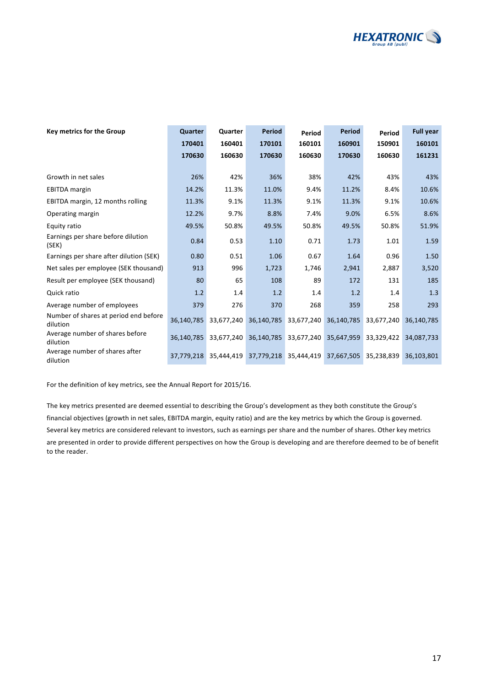

| <b>Key metrics for the Group</b>                  | Quarter    | Quarter    | <b>Period</b> | Period                | <b>Period</b>         | Period     | <b>Full year</b> |
|---------------------------------------------------|------------|------------|---------------|-----------------------|-----------------------|------------|------------------|
|                                                   | 170401     | 160401     | 170101        | 160101                | 160901                | 150901     | 160101           |
|                                                   | 170630     | 160630     | 170630        | 160630                | 170630                | 160630     | 161231           |
|                                                   |            |            |               |                       |                       |            |                  |
| Growth in net sales                               | 26%        | 42%        | 36%           | 38%                   | 42%                   | 43%        | 43%              |
| <b>EBITDA</b> margin                              | 14.2%      | 11.3%      | 11.0%         | 9.4%                  | 11.2%                 | 8.4%       | 10.6%            |
| EBITDA margin, 12 months rolling                  | 11.3%      | 9.1%       | 11.3%         | 9.1%                  | 11.3%                 | 9.1%       | 10.6%            |
| Operating margin                                  | 12.2%      | 9.7%       | 8.8%          | 7.4%                  | 9.0%                  | 6.5%       | 8.6%             |
| Equity ratio                                      | 49.5%      | 50.8%      | 49.5%         | 50.8%                 | 49.5%                 | 50.8%      | 51.9%            |
| Earnings per share before dilution<br>(SEK)       | 0.84       | 0.53       | 1.10          | 0.71                  | 1.73                  | 1.01       | 1.59             |
| Earnings per share after dilution (SEK)           | 0.80       | 0.51       | 1.06          | 0.67                  | 1.64                  | 0.96       | 1.50             |
| Net sales per employee (SEK thousand)             | 913        | 996        | 1,723         | 1,746                 | 2,941                 | 2,887      | 3,520            |
| Result per employee (SEK thousand)                | 80         | 65         | 108           | 89                    | 172                   | 131        | 185              |
| Quick ratio                                       | 1.2        | 1.4        | 1.2           | 1.4                   | 1.2                   | 1.4        | 1.3              |
| Average number of employees                       | 379        | 276        | 370           | 268                   | 359                   | 258        | 293              |
| Number of shares at period end before<br>dilution | 36.140.785 | 33,677,240 | 36,140,785    | 33,677,240            | 36,140,785            | 33,677,240 | 36,140,785       |
| Average number of shares before<br>dilution       | 36,140,785 | 33,677,240 | 36,140,785    |                       | 33,677,240 35,647,959 | 33,329,422 | 34,087,733       |
| Average number of shares after<br>dilution        | 37,779,218 | 35,444,419 |               | 37,779,218 35,444,419 | 37,667,505            | 35,238,839 | 36,103,801       |

For the definition of key metrics, see the Annual Report for 2015/16.

The key metrics presented are deemed essential to describing the Group's development as they both constitute the Group's financial objectives (growth in net sales, EBITDA margin, equity ratio) and are the key metrics by which the Group is governed. Several key metrics are considered relevant to investors, such as earnings per share and the number of shares. Other key metrics are presented in order to provide different perspectives on how the Group is developing and are therefore deemed to be of benefit to the reader.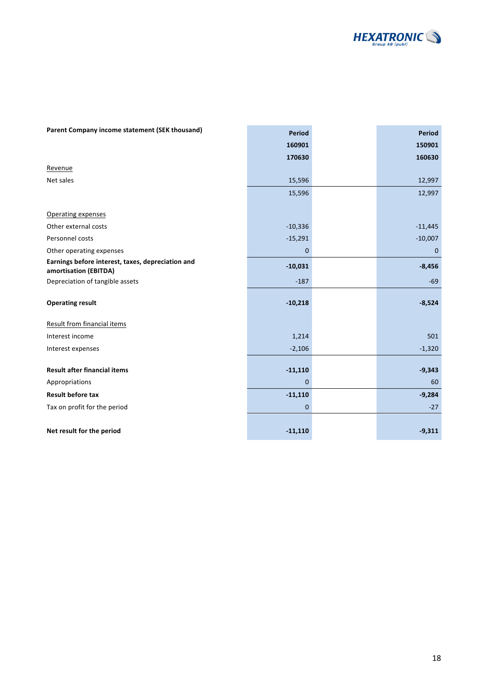

| Parent Company income statement (SEK thousand)                             | <b>Period</b> | <b>Period</b> |
|----------------------------------------------------------------------------|---------------|---------------|
|                                                                            | 160901        | 150901        |
|                                                                            | 170630        | 160630        |
| Revenue                                                                    |               |               |
| Net sales                                                                  | 15,596        | 12,997        |
|                                                                            | 15,596        | 12,997        |
|                                                                            |               |               |
| <b>Operating expenses</b>                                                  |               |               |
| Other external costs                                                       | $-10,336$     | $-11,445$     |
| Personnel costs                                                            | $-15,291$     | $-10,007$     |
| Other operating expenses                                                   | $\mathbf 0$   | $\mathbf 0$   |
| Earnings before interest, taxes, depreciation and<br>amortisation (EBITDA) | $-10,031$     | $-8,456$      |
| Depreciation of tangible assets                                            | $-187$        | $-69$         |
| <b>Operating result</b>                                                    | $-10,218$     | $-8,524$      |
| <b>Result from financial items</b>                                         |               |               |
| Interest income                                                            | 1,214         | 501           |
| Interest expenses                                                          | $-2,106$      | $-1,320$      |
|                                                                            |               |               |
| <b>Result after financial items</b>                                        | $-11,110$     | $-9,343$      |
| Appropriations                                                             | $\mathbf 0$   | 60            |
| <b>Result before tax</b>                                                   | $-11,110$     | $-9,284$      |
| Tax on profit for the period                                               | $\mathbf 0$   | $-27$         |
|                                                                            |               |               |
| Net result for the period                                                  | $-11,110$     | $-9,311$      |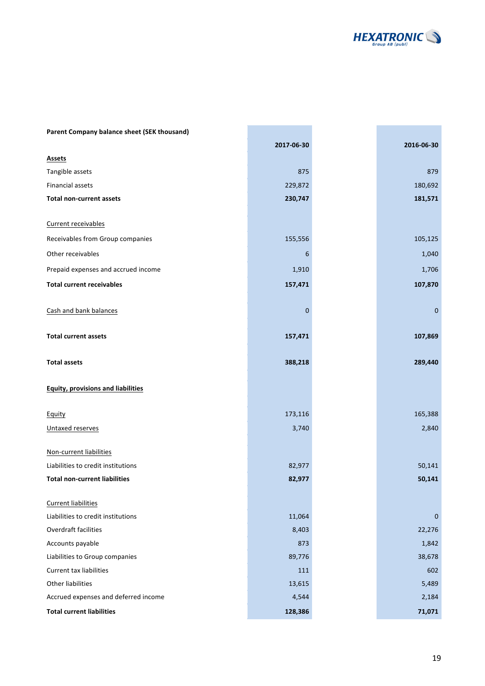

m.

| Parent Company balance sheet (SEK thousand) |             |             |
|---------------------------------------------|-------------|-------------|
|                                             | 2017-06-30  | 2016-06-30  |
| <b>Assets</b>                               |             |             |
| Tangible assets                             | 875         | 879         |
| Financial assets                            | 229,872     | 180,692     |
| <b>Total non-current assets</b>             | 230,747     | 181,571     |
| Current receivables                         |             |             |
| Receivables from Group companies            | 155,556     | 105,125     |
| Other receivables                           | 6           | 1,040       |
| Prepaid expenses and accrued income         | 1,910       | 1,706       |
| <b>Total current receivables</b>            | 157,471     | 107,870     |
| Cash and bank balances                      | $\mathbf 0$ | $\mathbf 0$ |
| <b>Total current assets</b>                 | 157,471     | 107,869     |
| <b>Total assets</b>                         | 388,218     | 289,440     |
| <b>Equity, provisions and liabilities</b>   |             |             |
| <b>Equity</b>                               | 173,116     | 165,388     |
| Untaxed reserves                            | 3,740       | 2,840       |
| Non-current liabilities                     |             |             |
| Liabilities to credit institutions          | 82,977      | 50,141      |
| <b>Total non-current liabilities</b>        | 82,977      | 50,141      |
| <b>Current liabilities</b>                  |             |             |
| Liabilities to credit institutions          | 11,064      | $\mathbf 0$ |
| <b>Overdraft facilities</b>                 | 8,403       | 22,276      |
| Accounts payable                            | 873         | 1,842       |
| Liabilities to Group companies              | 89,776      | 38,678      |
| <b>Current tax liabilities</b>              | 111         | 602         |
| <b>Other liabilities</b>                    | 13,615      | 5,489       |
| Accrued expenses and deferred income        | 4,544       | 2,184       |
| <b>Total current liabilities</b>            | 128,386     | 71,071      |

**College** 

e.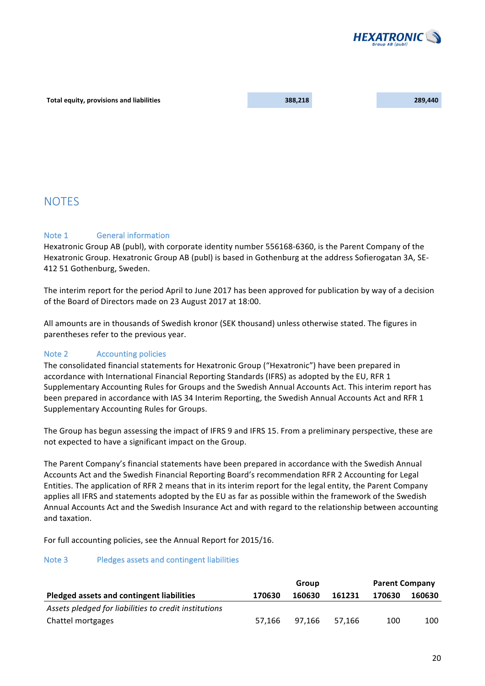

#### **Total equity, provisions and liabilities 188,218 289,440 289,440 289,440**

## **NOTES**

## Note 1 **General information**

Hexatronic Group AB (publ), with corporate identity number 556168-6360, is the Parent Company of the Hexatronic Group. Hexatronic Group AB (publ) is based in Gothenburg at the address Sofierogatan 3A, SE-412 51 Gothenburg, Sweden.

The interim report for the period April to June 2017 has been approved for publication by way of a decision of the Board of Directors made on 23 August 2017 at 18:00.

All amounts are in thousands of Swedish kronor (SEK thousand) unless otherwise stated. The figures in parentheses refer to the previous year.

## Note 2 **Accounting policies**

The consolidated financial statements for Hexatronic Group ("Hexatronic") have been prepared in accordance with International Financial Reporting Standards (IFRS) as adopted by the EU, RFR 1 Supplementary Accounting Rules for Groups and the Swedish Annual Accounts Act. This interim report has been prepared in accordance with IAS 34 Interim Reporting, the Swedish Annual Accounts Act and RFR 1 Supplementary Accounting Rules for Groups.

The Group has begun assessing the impact of IFRS 9 and IFRS 15. From a preliminary perspective, these are not expected to have a significant impact on the Group.

The Parent Company's financial statements have been prepared in accordance with the Swedish Annual Accounts Act and the Swedish Financial Reporting Board's recommendation RFR 2 Accounting for Legal Entities. The application of RFR 2 means that in its interim report for the legal entity, the Parent Company applies all IFRS and statements adopted by the EU as far as possible within the framework of the Swedish Annual Accounts Act and the Swedish Insurance Act and with regard to the relationship between accounting and taxation.

For full accounting policies, see the Annual Report for 2015/16.

## Note 3 Pledges assets and contingent liabilities

|                                                       | Group  |        |        | <b>Parent Company</b> |        |  |
|-------------------------------------------------------|--------|--------|--------|-----------------------|--------|--|
| Pledged assets and contingent liabilities             | 170630 | 160630 | 161231 | 170630                | 160630 |  |
| Assets pledged for liabilities to credit institutions |        |        |        |                       |        |  |
| Chattel mortgages                                     | 57.166 | 97.166 | 57.166 | 100                   | 100    |  |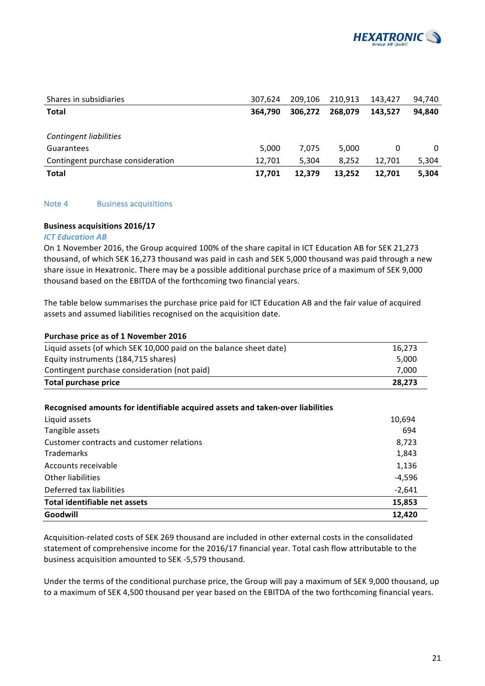

| Shares in subsidiaries            | 307.624 | 209.106 | 210.913 | 143,427 | 94,740   |
|-----------------------------------|---------|---------|---------|---------|----------|
| <b>Total</b>                      | 364.790 | 306.272 | 268.079 | 143.527 | 94,840   |
|                                   |         |         |         |         |          |
| <b>Contingent liabilities</b>     |         |         |         |         |          |
| Guarantees                        | 5.000   | 7.075   | 5.000   | 0       | $\Omega$ |
| Contingent purchase consideration | 12,701  | 5,304   | 8.252   | 12.701  | 5,304    |
| <b>Total</b>                      | 17,701  | 12.379  | 13.252  | 12.701  | 5,304    |

## Note 4 Business acquisitions

#### **Business acquisitions 2016/17**

#### *ICT Education AB*

On 1 November 2016, the Group acquired 100% of the share capital in ICT Education AB for SEK 21,273 thousand, of which SEK 16,273 thousand was paid in cash and SEK 5,000 thousand was paid through a new share issue in Hexatronic. There may be a possible additional purchase price of a maximum of SEK 9,000 thousand based on the EBITDA of the forthcoming two financial years.

The table below summarises the purchase price paid for ICT Education AB and the fair value of acquired assets and assumed liabilities recognised on the acquisition date.

| Purchase price as of 1 November 2016                               |        |
|--------------------------------------------------------------------|--------|
| Liquid assets (of which SEK 10,000 paid on the balance sheet date) | 16.273 |
| Equity instruments (184,715 shares)                                | 5.000  |
| Contingent purchase consideration (not paid)                       | 7.000  |
| <b>Total purchase price</b>                                        | 28.273 |

#### **Recognised amounts for identifiable acquired assets and taken-over liabilities**

| Liquid assets                             | 10,694   |
|-------------------------------------------|----------|
| Tangible assets                           | 694      |
| Customer contracts and customer relations | 8,723    |
| <b>Trademarks</b>                         | 1,843    |
| Accounts receivable                       | 1,136    |
| Other liabilities                         | $-4,596$ |
| Deferred tax liabilities                  | $-2,641$ |
| Total identifiable net assets             | 15,853   |
| Goodwill                                  | 12,420   |

Acquisition-related costs of SEK 269 thousand are included in other external costs in the consolidated statement of comprehensive income for the 2016/17 financial year. Total cash flow attributable to the business acquisition amounted to SEK -5,579 thousand.

Under the terms of the conditional purchase price, the Group will pay a maximum of SEK 9,000 thousand, up to a maximum of SEK 4,500 thousand per year based on the EBITDA of the two forthcoming financial years.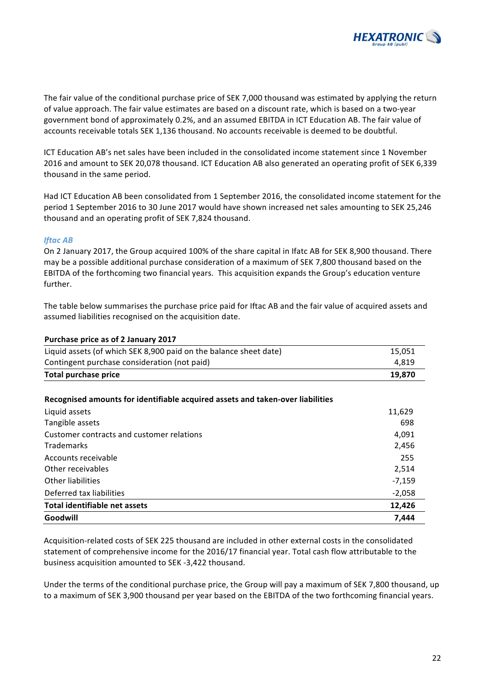

The fair value of the conditional purchase price of SEK 7,000 thousand was estimated by applying the return of value approach. The fair value estimates are based on a discount rate, which is based on a two-year government bond of approximately 0.2%, and an assumed EBITDA in ICT Education AB. The fair value of accounts receivable totals SEK 1,136 thousand. No accounts receivable is deemed to be doubtful.

ICT Education AB's net sales have been included in the consolidated income statement since 1 November 2016 and amount to SEK 20,078 thousand. ICT Education AB also generated an operating profit of SEK 6,339 thousand in the same period.

Had ICT Education AB been consolidated from 1 September 2016, the consolidated income statement for the period 1 September 2016 to 30 June 2017 would have shown increased net sales amounting to SEK 25,246 thousand and an operating profit of SEK 7,824 thousand.

## *Iftac AB*

On 2 January 2017, the Group acquired 100% of the share capital in Ifatc AB for SEK 8,900 thousand. There may be a possible additional purchase consideration of a maximum of SEK 7,800 thousand based on the EBITDA of the forthcoming two financial years. This acquisition expands the Group's education venture further.

The table below summarises the purchase price paid for Iftac AB and the fair value of acquired assets and assumed liabilities recognised on the acquisition date.

#### Purchase price as of 2 January 2017

| Liquid assets (of which SEK 8,900 paid on the balance sheet date) | 15.051 |
|-------------------------------------------------------------------|--------|
| Contingent purchase consideration (not paid)                      | 4.819  |
| Total purchase price                                              | 19.870 |

## **Recognised amounts for identifiable acquired assets and taken-over liabilities**

| Liquid assets                             | 11,629   |
|-------------------------------------------|----------|
| Tangible assets                           | 698      |
| Customer contracts and customer relations | 4,091    |
| <b>Trademarks</b>                         | 2,456    |
| Accounts receivable                       | 255      |
| Other receivables                         | 2,514    |
| Other liabilities                         | $-7,159$ |
| Deferred tax liabilities                  | $-2,058$ |
| Total identifiable net assets             | 12,426   |
| Goodwill                                  | 7,444    |

Acquisition-related costs of SEK 225 thousand are included in other external costs in the consolidated statement of comprehensive income for the 2016/17 financial year. Total cash flow attributable to the business acquisition amounted to SEK -3,422 thousand.

Under the terms of the conditional purchase price, the Group will pay a maximum of SEK 7,800 thousand, up to a maximum of SEK 3,900 thousand per year based on the EBITDA of the two forthcoming financial years.